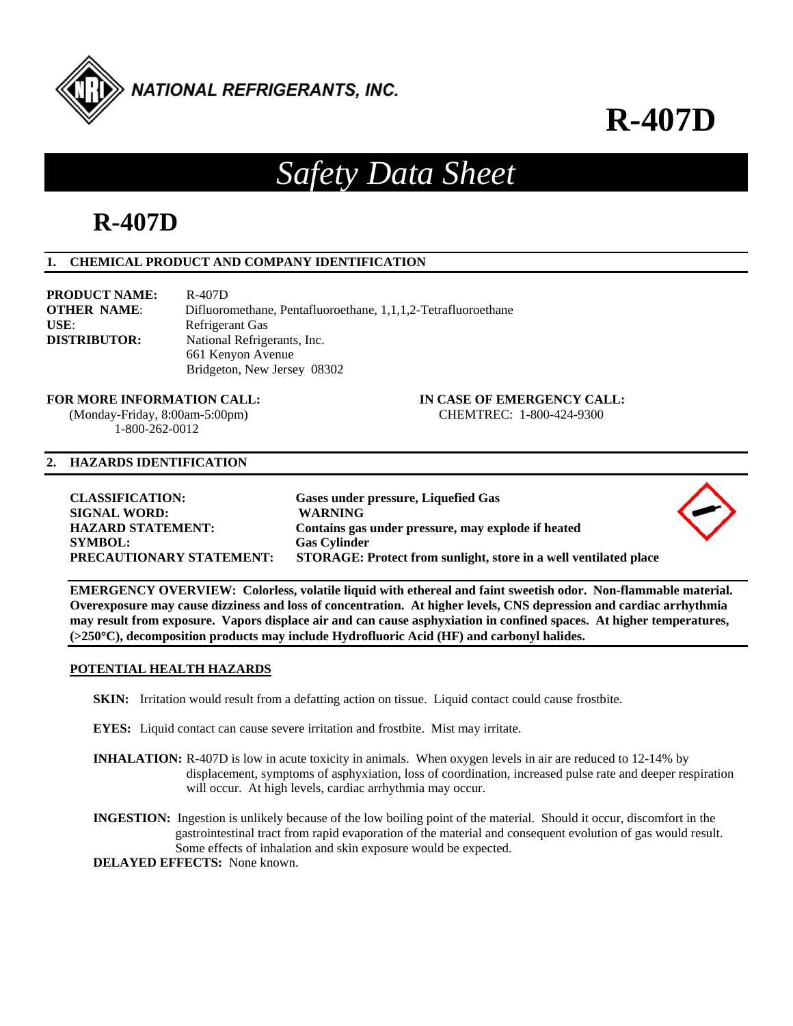

**R-407D**

# *Safety Data Sheet*

# **R-407D**

# **1. CHEMICAL PRODUCT AND COMPANY IDENTIFICATION**

| <b>PRODUCT NAME:</b>                               | R-407D                                                        |
|----------------------------------------------------|---------------------------------------------------------------|
| <b>OTHER NAME:</b>                                 | Difluoromethane, Pentafluoroethane, 1,1,1,2-Tetrafluoroethane |
| USE:                                               | Refrigerant Gas                                               |
| <b>DISTRIBUTOR:</b><br>National Refrigerants, Inc. |                                                               |
|                                                    | 661 Kenyon Avenue                                             |
|                                                    | Bridgeton, New Jersey 08302                                   |

 $(Monday-Friday, 8:00am-5:00pm)$ 1-800-262-0012

# **FOR MORE INFORMATION CALL: IN CASE OF EMERGENCY CALL:** (Monday-Friday, 8:00am-5:00pm) **CHEMTREC:** 1-800-424-9300

#### **2. HAZARDS IDENTIFICATION**

| <b>CLASSIFICATION:</b><br><b>SIGNAL WORD:</b><br><b>HAZARD STATEMENT:</b><br><b>SYMBOL:</b><br><b>PRECAUTIONARY STATEMENT:</b> | Gases under pressure, Liquefied Gas<br><b>WARNING</b><br>Contains gas under pressure, may explode if heated<br><b>Gas Cylinder</b><br>STORAGE: Protect from sunlight, store in a well ventilated place | $\sim$ |
|--------------------------------------------------------------------------------------------------------------------------------|--------------------------------------------------------------------------------------------------------------------------------------------------------------------------------------------------------|--------|
|                                                                                                                                |                                                                                                                                                                                                        |        |

**EMERGENCY OVERVIEW: Colorless, volatile liquid with ethereal and faint sweetish odor. Non-flammable material. Overexposure may cause dizziness and loss of concentration. At higher levels, CNS depression and cardiac arrhythmia may result from exposure. Vapors displace air and can cause asphyxiation in confined spaces. At higher temperatures, (>250C), decomposition products may include Hydrofluoric Acid (HF) and carbonyl halides.** 

# **POTENTIAL HEALTH HAZARDS**

- **SKIN:** Irritation would result from a defatting action on tissue. Liquid contact could cause frostbite.
- **EYES:** Liquid contact can cause severe irritation and frostbite. Mist may irritate.
- **INHALATION:** R-407D is low in acute toxicity in animals. When oxygen levels in air are reduced to 12-14% by displacement, symptoms of asphyxiation, loss of coordination, increased pulse rate and deeper respiration will occur. At high levels, cardiac arrhythmia may occur.
- **INGESTION:** Ingestion is unlikely because of the low boiling point of the material. Should it occur, discomfort in the gastrointestinal tract from rapid evaporation of the material and consequent evolution of gas would result. Some effects of inhalation and skin exposure would be expected.

**DELAYED EFFECTS:** None known.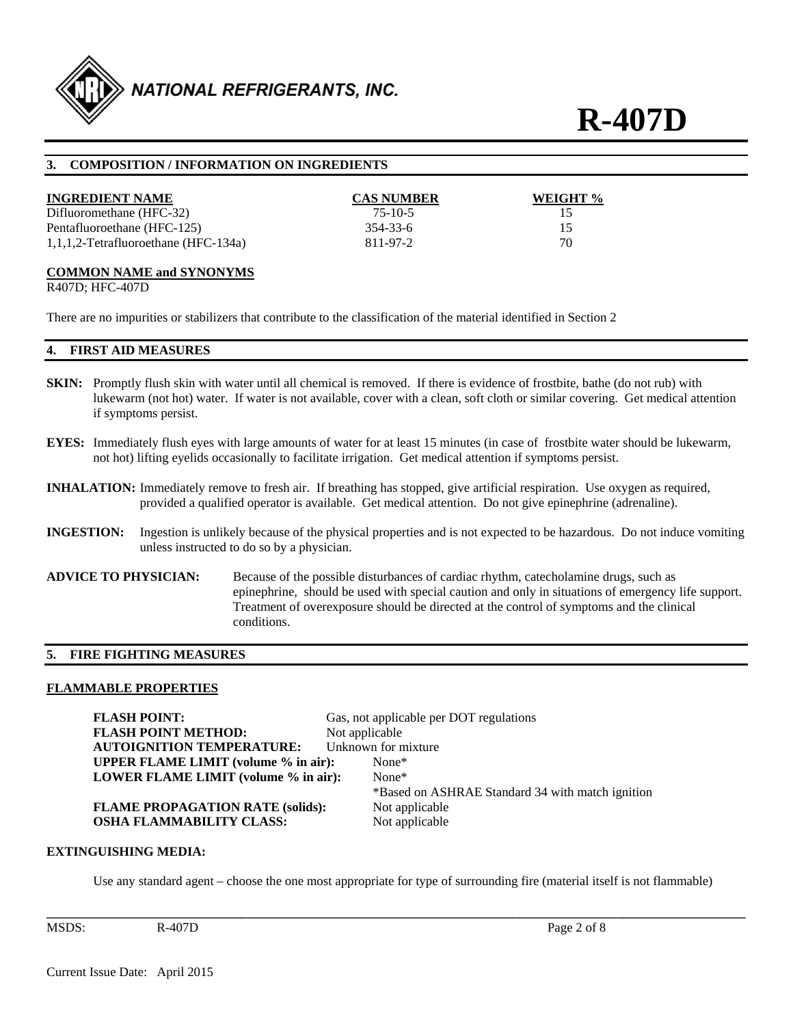

**R-407D** 

### **3. COMPOSITION / INFORMATION ON INGREDIENTS**

| <b>INGREDIENT NAME</b>                  | <b>CAS NUMBER</b> | WEIGHT % |
|-----------------------------------------|-------------------|----------|
| Difluoromethane (HFC-32)                | $75-10-5$         |          |
| Pentafluoroethane (HFC-125)             | 354-33-6          | 15       |
| $1,1,1,2$ -Tetrafluoroethane (HFC-134a) | 811-97-2          | 70       |

#### **COMMON NAME and SYNONYMS**

R407D; HFC-407D

There are no impurities or stabilizers that contribute to the classification of the material identified in Section 2

#### **4. FIRST AID MEASURES**

- **SKIN:** Promptly flush skin with water until all chemical is removed. If there is evidence of frostbite, bathe (do not rub) with lukewarm (not hot) water. If water is not available, cover with a clean, soft cloth or similar covering. Get medical attention if symptoms persist.
- **EYES:** Immediately flush eyes with large amounts of water for at least 15 minutes (in case of frostbite water should be lukewarm, not hot) lifting eyelids occasionally to facilitate irrigation. Get medical attention if symptoms persist.
- **INHALATION:** Immediately remove to fresh air. If breathing has stopped, give artificial respiration. Use oxygen as required, provided a qualified operator is available. Get medical attention. Do not give epinephrine (adrenaline).
- **INGESTION:** Ingestion is unlikely because of the physical properties and is not expected to be hazardous. Do not induce vomiting unless instructed to do so by a physician.
- **ADVICE TO PHYSICIAN:** Because of the possible disturbances of cardiac rhythm, catecholamine drugs, such as epinephrine, should be used with special caution and only in situations of emergency life support. Treatment of overexposure should be directed at the control of symptoms and the clinical conditions.

#### **5. FIRE FIGHTING MEASURES**

#### **FLAMMABLE PROPERTIES**

**FLASH POINT:** Gas, not applicable per DOT regulations **FLASH POINT METHOD:** Not applicable **AUTOIGNITION TEMPERATURE:** Unknown for mixture **UPPER FLAME LIMIT (volume % in air):** None\* **LOWER FLAME LIMIT (volume % in air):** None\* \*Based on ASHRAE Standard 34 with match ignition **FLAME PROPAGATION RATE (solids):** Not applicable **OSHA FLAMMABILITY CLASS:** Not applicable

#### **EXTINGUISHING MEDIA:**

Use any standard agent – choose the one most appropriate for type of surrounding fire (material itself is not flammable)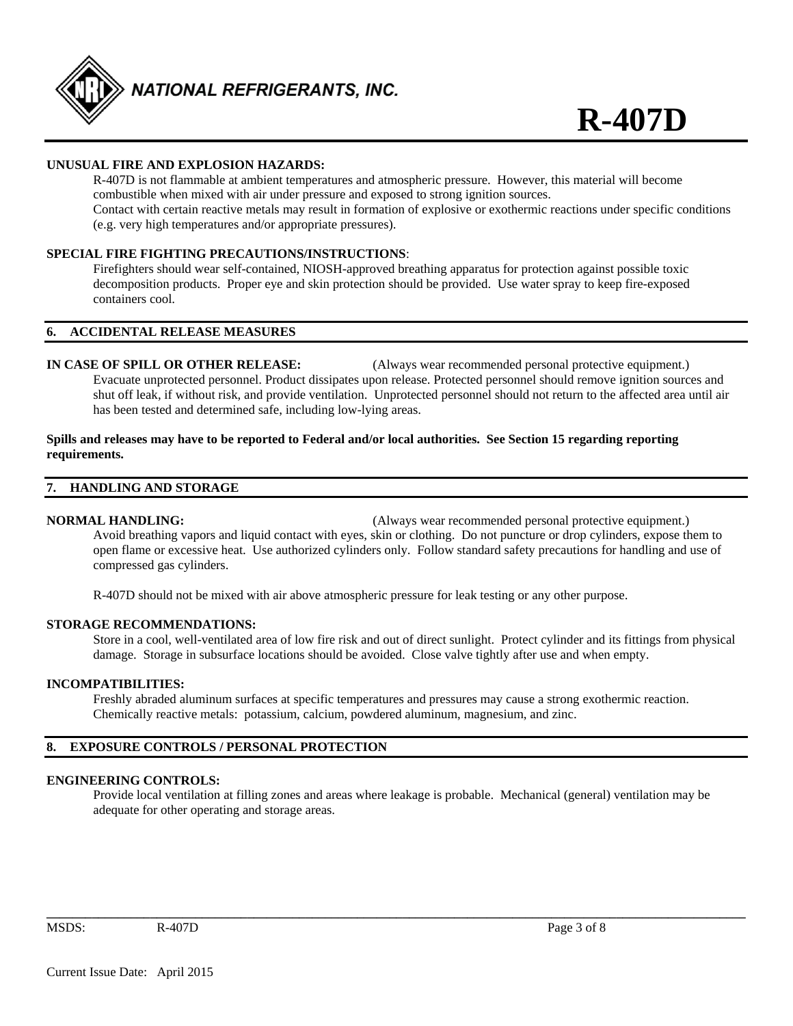

# **UNUSUAL FIRE AND EXPLOSION HAZARDS:**

 R-407D is not flammable at ambient temperatures and atmospheric pressure. However, this material will become combustible when mixed with air under pressure and exposed to strong ignition sources. Contact with certain reactive metals may result in formation of explosive or exothermic reactions under specific conditions (e.g. very high temperatures and/or appropriate pressures).

## **SPECIAL FIRE FIGHTING PRECAUTIONS/INSTRUCTIONS**:

 Firefighters should wear self-contained, NIOSH-approved breathing apparatus for protection against possible toxic decomposition products. Proper eye and skin protection should be provided. Use water spray to keep fire-exposed containers cool.

#### **6. ACCIDENTAL RELEASE MEASURES**

**IN CASE OF SPILL OR OTHER RELEASE:** (Always wear recommended personal protective equipment.) Evacuate unprotected personnel. Product dissipates upon release. Protected personnel should remove ignition sources and shut off leak, if without risk, and provide ventilation. Unprotected personnel should not return to the affected area until air has been tested and determined safe, including low-lying areas.

#### **Spills and releases may have to be reported to Federal and/or local authorities. See Section 15 regarding reporting requirements.**

#### **7. HANDLING AND STORAGE**

**NORMAL HANDLING:** (Always wear recommended personal protective equipment.) Avoid breathing vapors and liquid contact with eyes, skin or clothing. Do not puncture or drop cylinders, expose them to open flame or excessive heat. Use authorized cylinders only. Follow standard safety precautions for handling and use of compressed gas cylinders.

R-407D should not be mixed with air above atmospheric pressure for leak testing or any other purpose.

#### **STORAGE RECOMMENDATIONS:**

 Store in a cool, well-ventilated area of low fire risk and out of direct sunlight. Protect cylinder and its fittings from physical damage. Storage in subsurface locations should be avoided. Close valve tightly after use and when empty.

### **INCOMPATIBILITIES:**

Freshly abraded aluminum surfaces at specific temperatures and pressures may cause a strong exothermic reaction. Chemically reactive metals: potassium, calcium, powdered aluminum, magnesium, and zinc.

# **8. EXPOSURE CONTROLS / PERSONAL PROTECTION**

#### **ENGINEERING CONTROLS:**

 Provide local ventilation at filling zones and areas where leakage is probable. Mechanical (general) ventilation may be adequate for other operating and storage areas.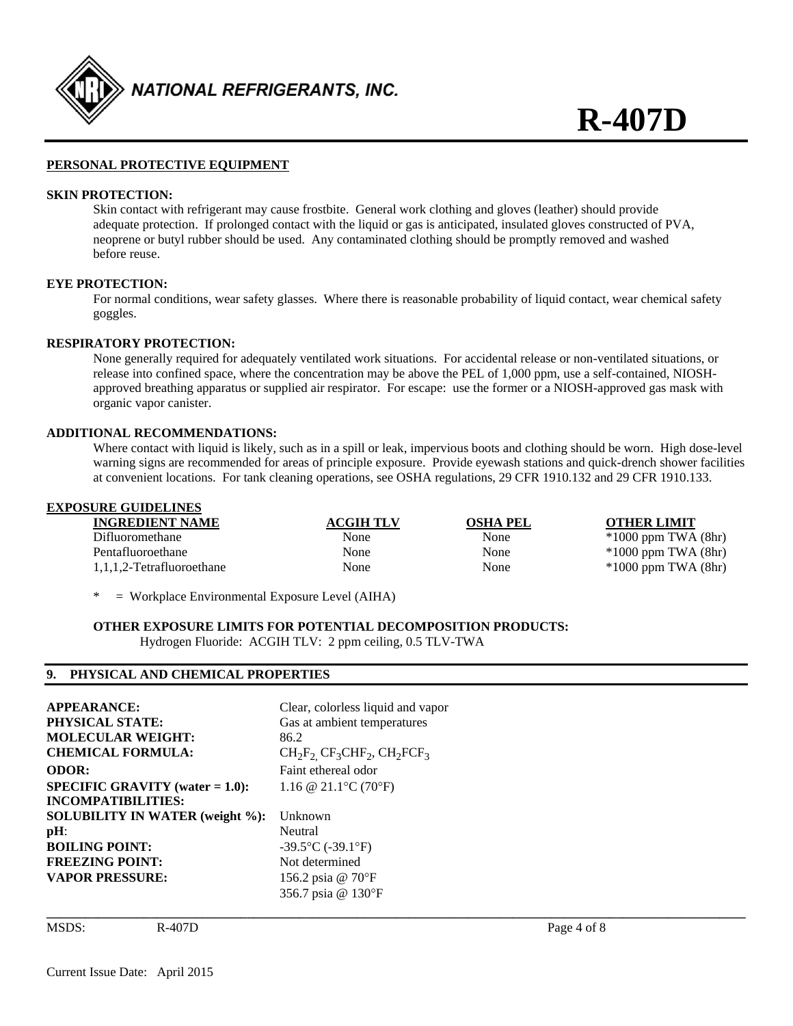

#### **PERSONAL PROTECTIVE EQUIPMENT**

#### **SKIN PROTECTION:**

 Skin contact with refrigerant may cause frostbite. General work clothing and gloves (leather) should provide adequate protection. If prolonged contact with the liquid or gas is anticipated, insulated gloves constructed of PVA, neoprene or butyl rubber should be used. Any contaminated clothing should be promptly removed and washed before reuse.

#### **EYE PROTECTION:**

 For normal conditions, wear safety glasses. Where there is reasonable probability of liquid contact, wear chemical safety goggles.

#### **RESPIRATORY PROTECTION:**

None generally required for adequately ventilated work situations. For accidental release or non-ventilated situations, or release into confined space, where the concentration may be above the PEL of 1,000 ppm, use a self-contained, NIOSH approved breathing apparatus or supplied air respirator. For escape: use the former or a NIOSH-approved gas mask with organic vapor canister.

#### **ADDITIONAL RECOMMENDATIONS:**

 Where contact with liquid is likely, such as in a spill or leak, impervious boots and clothing should be worn. High dose-level warning signs are recommended for areas of principle exposure. Provide eyewash stations and quick-drench shower facilities at convenient locations. For tank cleaning operations, see OSHA regulations, 29 CFR 1910.132 and 29 CFR 1910.133.

# **EXPOSURE GUIDELINES**

| <b>INGREDIENT NAME</b>    | ACGIH TLV | <b>OSHA PEL</b> | <b>OTHER LIMIT</b>      |
|---------------------------|-----------|-----------------|-------------------------|
| Difluoromethane           | None      | None            | $*1000$ ppm TWA $(8hr)$ |
| Pentafluoroethane         | None      | None            | $*1000$ ppm TWA $(8hr)$ |
| 1,1,1,2-Tetrafluoroethane | None      | None            | $*1000$ ppm TWA $(8hr)$ |

 $=$  Workplace Environmental Exposure Level (AIHA)

#### **OTHER EXPOSURE LIMITS FOR POTENTIAL DECOMPOSITION PRODUCTS:**  Hydrogen Fluoride: ACGIH TLV: 2 ppm ceiling, 0.5 TLV-TWA

#### **9. PHYSICAL AND CHEMICAL PROPERTIES**

**APPEARANCE:** Clear, colorless liquid and vapor **PHYSICAL STATE:** Gas at ambient temperatures **MOLECULAR WEIGHT:** 86.2 **CHEMICAL FORMULA:**  $CH_2F_2$   $CF_3CHF_2$ ,  $CH_2FCF_3$ **ODOR:** Faint ethereal odor **SPECIFIC GRAVITY (water = 1.0):** 1.16  $@ 21.1°C (70°F)$ **INCOMPATIBILITIES: SOLUBILITY IN WATER (weight %):** Unknown **pH**: Neutral **BOILING POINT:**  $-39.5^{\circ}C (-39.1^{\circ}F)$ **FREEZING POINT:** Not determined **VAPOR PRESSURE:** 156.2 psia @ 70°F

**\_\_\_\_\_\_\_\_\_\_\_\_\_\_\_\_\_\_\_\_\_\_\_\_\_\_\_\_\_\_\_\_\_\_\_\_\_\_\_\_\_\_\_\_\_\_\_\_\_\_\_\_\_\_\_\_\_\_\_\_\_\_\_\_\_\_\_\_\_\_\_\_\_\_\_\_\_\_\_\_\_\_\_\_\_\_\_\_\_\_\_\_\_\_\_\_\_\_\_\_\_\_\_\_\_\_\_\_** 

356.7 psia @ 130F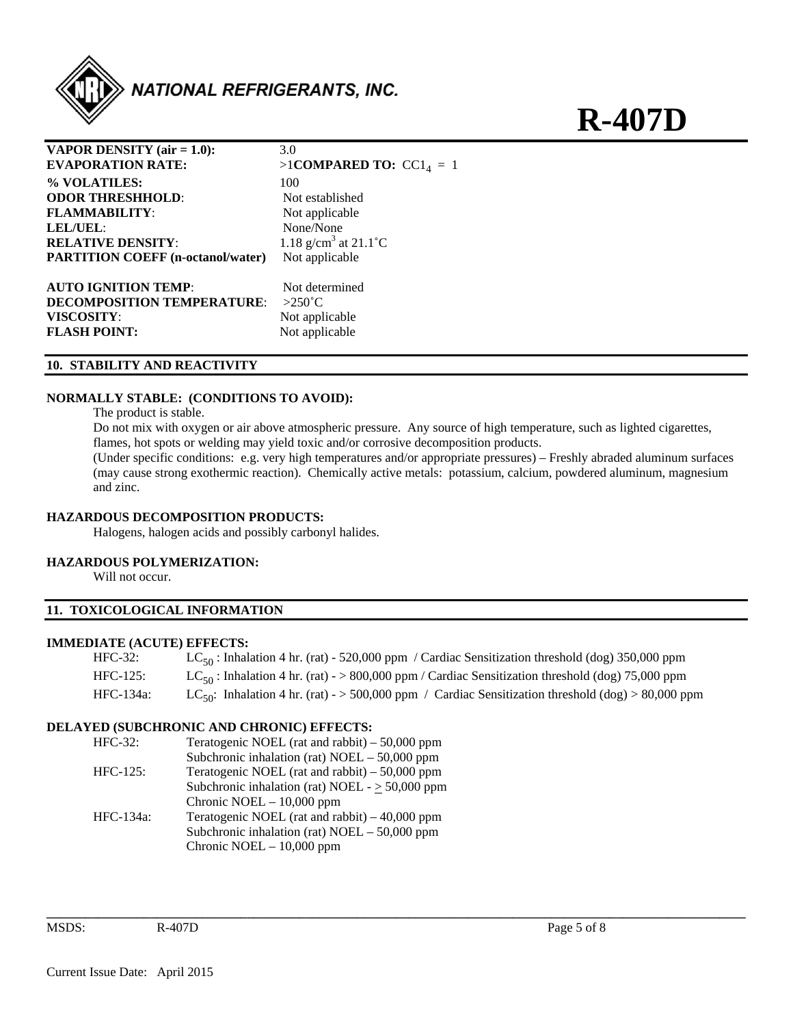

**R-407D** 

| <b>VAPOR DENSITY</b> (air $= 1.0$ ):     | 3.0                                    |
|------------------------------------------|----------------------------------------|
| <b>EVAPORATION RATE:</b>                 | $>1$ COMPARED TO: CC1 <sub>4</sub> = 1 |
| % VOLATILES:                             | 100                                    |
| <b>ODOR THRESHHOLD:</b>                  | Not established                        |
| <b>FLAMMABILITY:</b>                     | Not applicable                         |
| LEL/UEL:                                 | None/None                              |
| <b>RELATIVE DENSITY:</b>                 | 1.18 g/cm <sup>3</sup> at 21.1 °C      |
| <b>PARTITION COEFF</b> (n-octanol/water) | Not applicable                         |
| <b>AUTO IGNITION TEMP:</b>               | Not determined                         |
| <b>DECOMPOSITION TEMPERATURE:</b>        | $>250^{\circ}$ C                       |
| <b>VISCOSITY:</b>                        | Not applicable                         |
| <b>FLASH POINT:</b>                      | Not applicable                         |

# **10. STABILITY AND REACTIVITY**

#### **NORMALLY STABLE: (CONDITIONS TO AVOID):**

The product is stable.

 Do not mix with oxygen or air above atmospheric pressure. Any source of high temperature, such as lighted cigarettes, flames, hot spots or welding may yield toxic and/or corrosive decomposition products.

 (Under specific conditions: e.g. very high temperatures and/or appropriate pressures) – Freshly abraded aluminum surfaces (may cause strong exothermic reaction). Chemically active metals: potassium, calcium, powdered aluminum, magnesium and zinc.

#### **HAZARDOUS DECOMPOSITION PRODUCTS:**

Halogens, halogen acids and possibly carbonyl halides.

#### **HAZARDOUS POLYMERIZATION:**

Will not occur.

# **11. TOXICOLOGICAL INFORMATION**

#### **IMMEDIATE (ACUTE) EFFECTS:**

| $HFC-32:$   | $LC_{50}$ : Inhalation 4 hr. (rat) - 520,000 ppm / Cardiac Sensitization threshold (dog) 350,000 ppm           |
|-------------|----------------------------------------------------------------------------------------------------------------|
| $HFC-125$ : | $LC_{50}$ : Inhalation 4 hr. (rat) - > 800,000 ppm / Cardiac Sensitization threshold (dog) 75,000 ppm          |
| HFC-134a:   | LC <sub>50</sub> : Inhalation 4 hr. (rat) - > 500,000 ppm / Cardiac Sensitization threshold (dog) > 80,000 ppm |

**\_\_\_\_\_\_\_\_\_\_\_\_\_\_\_\_\_\_\_\_\_\_\_\_\_\_\_\_\_\_\_\_\_\_\_\_\_\_\_\_\_\_\_\_\_\_\_\_\_\_\_\_\_\_\_\_\_\_\_\_\_\_\_\_\_\_\_\_\_\_\_\_\_\_\_\_\_\_\_\_\_\_\_\_\_\_\_\_\_\_\_\_\_\_\_\_\_\_\_\_\_\_\_\_\_\_\_\_** 

#### **DELAYED (SUBCHRONIC AND CHRONIC) EFFECTS:**

| $HFC-32:$   | Teratogenic NOEL (rat and rabbit) $-50,000$ ppm      |
|-------------|------------------------------------------------------|
|             | Subchronic inhalation (rat) NOEL $-50,000$ ppm       |
| $HFC-125$ : | Teratogenic NOEL (rat and rabbit) $-50,000$ ppm      |
|             | Subchronic inhalation (rat) NOEL - $\geq$ 50,000 ppm |
|             | Chronic NOEL $-10,000$ ppm                           |
| HFC-134a:   | Teratogenic NOEL (rat and rabbit) $-40,000$ ppm      |
|             | Subchronic inhalation (rat) $NOEL - 50,000$ ppm      |
|             | Chronic NOEL $-10,000$ ppm                           |
|             |                                                      |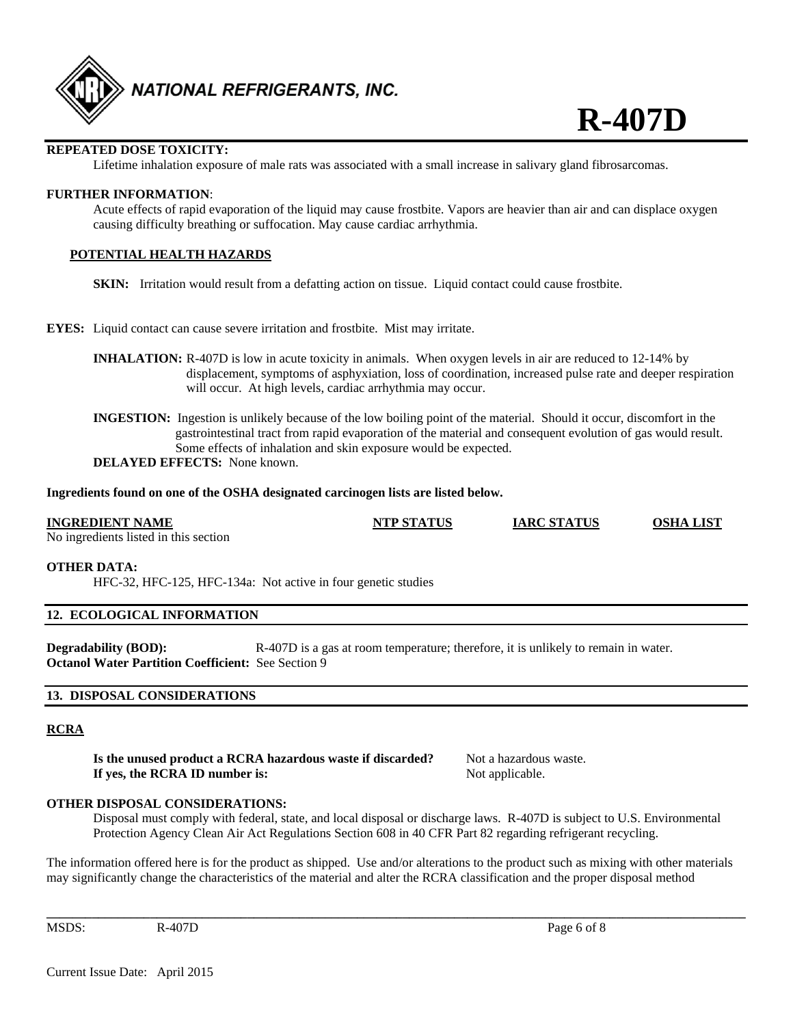

# **REPEATED DOSE TOXICITY:**

Lifetime inhalation exposure of male rats was associated with a small increase in salivary gland fibrosarcomas.

#### **FURTHER INFORMATION**:

Acute effects of rapid evaporation of the liquid may cause frostbite. Vapors are heavier than air and can displace oxygen causing difficulty breathing or suffocation. May cause cardiac arrhythmia.

#### **POTENTIAL HEALTH HAZARDS**

**SKIN:** Irritation would result from a defatting action on tissue. Liquid contact could cause frostbite.

- **EYES:** Liquid contact can cause severe irritation and frostbite. Mist may irritate.
	- **INHALATION:** R-407D is low in acute toxicity in animals. When oxygen levels in air are reduced to 12-14% by displacement, symptoms of asphyxiation, loss of coordination, increased pulse rate and deeper respiration will occur. At high levels, cardiac arrhythmia may occur.
	- **INGESTION:** Ingestion is unlikely because of the low boiling point of the material. Should it occur, discomfort in the gastrointestinal tract from rapid evaporation of the material and consequent evolution of gas would result. Some effects of inhalation and skin exposure would be expected. **DELAYED EFFECTS:** None known.

### **Ingredients found on one of the OSHA designated carcinogen lists are listed below.**

# **INGREDIENT NAME NTP STATUS IARC STATUS OSHA LIST**

No ingredients listed in this section

#### **OTHER DATA:**

HFC-32, HFC-125, HFC-134a: Not active in four genetic studies

#### **12. ECOLOGICAL INFORMATION**

**Degradability (BOD):** R-407D is a gas at room temperature; therefore, it is unlikely to remain in water. **Octanol Water Partition Coefficient:** See Section 9

#### **13. DISPOSAL CONSIDERATIONS**

# **RCRA**

**Is the unused product a RCRA hazardous waste if discarded?** Not a hazardous waste. **If yes, the RCRA ID number is:** Not applicable.

#### **OTHER DISPOSAL CONSIDERATIONS:**

 Disposal must comply with federal, state, and local disposal or discharge laws. R-407D is subject to U.S. Environmental Protection Agency Clean Air Act Regulations Section 608 in 40 CFR Part 82 regarding refrigerant recycling.

The information offered here is for the product as shipped. Use and/or alterations to the product such as mixing with other materials may significantly change the characteristics of the material and alter the RCRA classification and the proper disposal method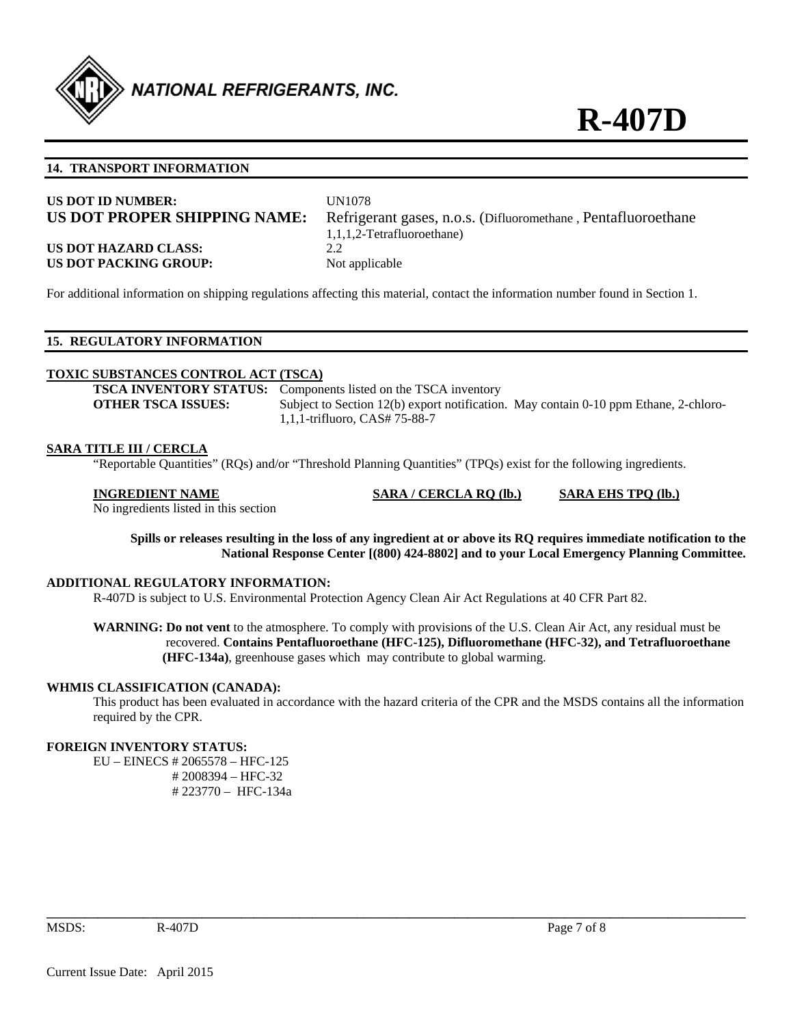

#### **14. TRANSPORT INFORMATION**

| US DOT ID NUMBER:<br>US DOT PROPER SHIPPING NAME: | <b>UN1078</b><br>Refrigerant gases, n.o.s. (Difluoromethane, Pentafluoroethane)<br>1,1,1,2-Tetrafluoroethane) |
|---------------------------------------------------|---------------------------------------------------------------------------------------------------------------|
| <b>US DOT HAZARD CLASS:</b>                       | 2.2                                                                                                           |
| US DOT PACKING GROUP:                             | Not applicable                                                                                                |

For additional information on shipping regulations affecting this material, contact the information number found in Section 1.

# **15. REGULATORY INFORMATION**

#### **TOXIC SUBSTANCES CONTROL ACT (TSCA)**

**TSCA INVENTORY STATUS:** Components listed on the TSCA inventory **OTHER TSCA ISSUES:** Subject to Section 12(b) export notification. May contain 0-10 ppm Ethane, 2-chloro-1,1,1-trifluoro, CAS# 75-88-7

#### **SARA TITLE III / CERCLA**

"Reportable Quantities" (RQs) and/or "Threshold Planning Quantities" (TPQs) exist for the following ingredients.

No ingredients listed in this section

**INGREDIENT NAME SARA / CERCLA RQ (lb.) SARA EHS TPQ (lb.)**

**Spills or releases resulting in the loss of any ingredient at or above its RQ requires immediate notification to the National Response Center [(800) 424-8802] and to your Local Emergency Planning Committee.** 

#### **ADDITIONAL REGULATORY INFORMATION:**

R-407D is subject to U.S. Environmental Protection Agency Clean Air Act Regulations at 40 CFR Part 82.

**WARNING: Do not vent** to the atmosphere. To comply with provisions of the U.S. Clean Air Act, any residual must be recovered. **Contains Pentafluoroethane (HFC-125), Difluoromethane (HFC-32), and Tetrafluoroethane (HFC-134a)**, greenhouse gases which may contribute to global warming.

#### **WHMIS CLASSIFICATION (CANADA):**

 This product has been evaluated in accordance with the hazard criteria of the CPR and the MSDS contains all the information required by the CPR.

**\_\_\_\_\_\_\_\_\_\_\_\_\_\_\_\_\_\_\_\_\_\_\_\_\_\_\_\_\_\_\_\_\_\_\_\_\_\_\_\_\_\_\_\_\_\_\_\_\_\_\_\_\_\_\_\_\_\_\_\_\_\_\_\_\_\_\_\_\_\_\_\_\_\_\_\_\_\_\_\_\_\_\_\_\_\_\_\_\_\_\_\_\_\_\_\_\_\_\_\_\_\_\_\_\_\_\_\_** 

### **FOREIGN INVENTORY STATUS:**

EU – EINECS # 2065578 – HFC-125 # 2008394 – HFC-32 # 223770 – HFC-134a